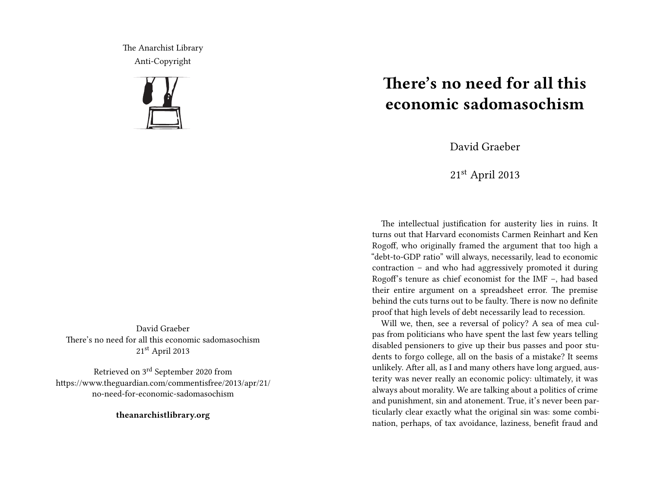The Anarchist Library Anti-Copyright



David Graeber There's no need for all this economic sadomasochism 21st April 2013

Retrieved on 3rd September 2020 from https://www.theguardian.com/commentisfree/2013/apr/21/ no-need-for-economic-sadomasochism

**theanarchistlibrary.org**

## **There's no need for all this economic sadomasochism**

David Graeber

21st April 2013

The intellectual justification for austerity lies in ruins. It turns out that Harvard economists Carmen Reinhart and Ken Rogoff, who originally framed the argument that too high a "debt-to-GDP ratio" will always, necessarily, lead to economic contraction – and who had aggressively promoted it during Rogoff's tenure as chief economist for the IMF –, had based their entire argument on a spreadsheet error. The premise behind the cuts turns out to be faulty. There is now no definite proof that high levels of debt necessarily lead to recession.

Will we, then, see a reversal of policy? A sea of mea culpas from politicians who have spent the last few years telling disabled pensioners to give up their bus passes and poor students to forgo college, all on the basis of a mistake? It seems unlikely. After all, as I and many others have long argued, austerity was never really an economic policy: ultimately, it was always about morality. We are talking about a politics of crime and punishment, sin and atonement. True, it's never been particularly clear exactly what the original sin was: some combination, perhaps, of tax avoidance, laziness, benefit fraud and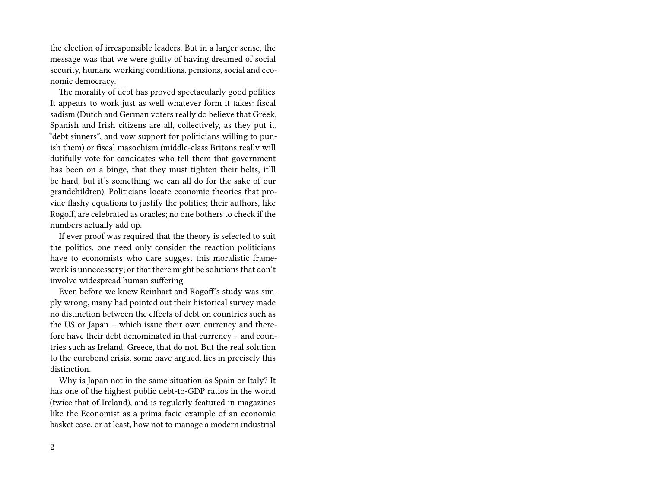the election of irresponsible leaders. But in a larger sense, the message was that we were guilty of having dreamed of social security, humane working conditions, pensions, social and economic democracy.

The morality of debt has proved spectacularly good politics. It appears to work just as well whatever form it takes: fiscal sadism (Dutch and German voters really do believe that Greek, Spanish and Irish citizens are all, collectively, as they put it, "debt sinners", and vow support for politicians willing to punish them) or fiscal masochism (middle-class Britons really will dutifully vote for candidates who tell them that government has been on a binge, that they must tighten their belts, it'll be hard, but it's something we can all do for the sake of our grandchildren). Politicians locate economic theories that provide flashy equations to justify the politics; their authors, like Rogoff, are celebrated as oracles; no one bothers to check if the numbers actually add up.

If ever proof was required that the theory is selected to suit the politics, one need only consider the reaction politicians have to economists who dare suggest this moralistic framework is unnecessary; or that there might be solutions that don't involve widespread human suffering.

Even before we knew Reinhart and Rogoff's study was simply wrong, many had pointed out their historical survey made no distinction between the effects of debt on countries such as the US or Japan – which issue their own currency and therefore have their debt denominated in that currency – and countries such as Ireland, Greece, that do not. But the real solution to the eurobond crisis, some have argued, lies in precisely this distinction.

Why is Japan not in the same situation as Spain or Italy? It has one of the highest public debt-to-GDP ratios in the world (twice that of Ireland), and is regularly featured in magazines like the Economist as a prima facie example of an economic basket case, or at least, how not to manage a modern industrial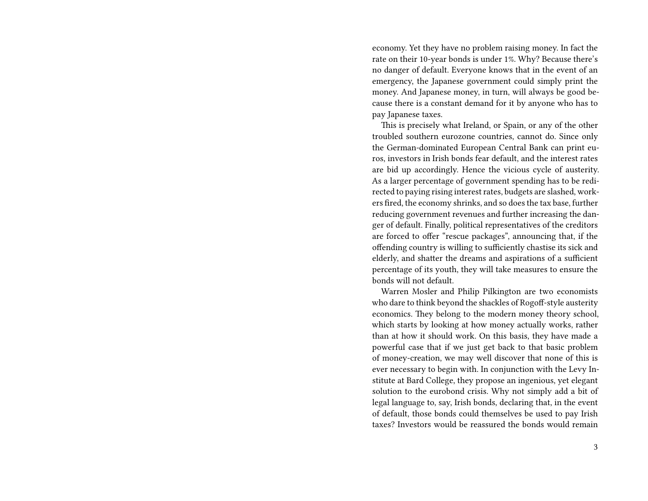economy. Yet they have no problem raising money. In fact the rate on their 10-year bonds is under 1%. Why? Because there's no danger of default. Everyone knows that in the event of an emergency, the Japanese government could simply print the money. And Japanese money, in turn, will always be good because there is a constant demand for it by anyone who has to pay Japanese taxes.

This is precisely what Ireland, or Spain, or any of the other troubled southern eurozone countries, cannot do. Since only the German-dominated European Central Bank can print euros, investors in Irish bonds fear default, and the interest rates are bid up accordingly. Hence the vicious cycle of austerity. As a larger percentage of government spending has to be redirected to paying rising interest rates, budgets are slashed, workers fired, the economy shrinks, and so does the tax base, further reducing government revenues and further increasing the danger of default. Finally, political representatives of the creditors are forced to offer "rescue packages", announcing that, if the offending country is willing to sufficiently chastise its sick and elderly, and shatter the dreams and aspirations of a sufficient percentage of its youth, they will take measures to ensure the bonds will not default.

Warren Mosler and Philip Pilkington are two economists who dare to think beyond the shackles of Rogoff-style austerity economics. They belong to the modern money theory school, which starts by looking at how money actually works, rather than at how it should work. On this basis, they have made a powerful case that if we just get back to that basic problem of money-creation, we may well discover that none of this is ever necessary to begin with. In conjunction with the Levy Institute at Bard College, they propose an ingenious, yet elegant solution to the eurobond crisis. Why not simply add a bit of legal language to, say, Irish bonds, declaring that, in the event of default, those bonds could themselves be used to pay Irish taxes? Investors would be reassured the bonds would remain